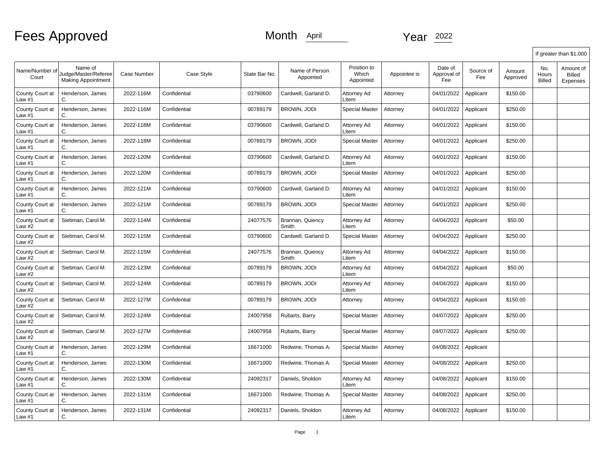|                                      |                                                              |                    |              |               |                             |                                   |              |                               |                  |                    |                        | If greater than \$1,000                |
|--------------------------------------|--------------------------------------------------------------|--------------------|--------------|---------------|-----------------------------|-----------------------------------|--------------|-------------------------------|------------------|--------------------|------------------------|----------------------------------------|
| Name/Number of<br>Court              | Name of<br>Judge/Master/Referee<br><b>Making Appointment</b> | <b>Case Number</b> | Case Style   | State Bar No. | Name of Person<br>Appointed | Position to<br>Which<br>Appointed | Appointee is | Date of<br>Approval of<br>Fee | Source of<br>Fee | Amount<br>Approved | No.<br>Hours<br>Billed | Amount of<br><b>Billed</b><br>Expenses |
| County Court at<br>Law $#1$          | Henderson, James<br>C.                                       | 2022-116M          | Confidential | 03790600      | Cardwell, Garland D.        | Attorney Ad<br>Litem              | Attorney     | 04/01/2022                    | Applicant        | \$150.00           |                        |                                        |
| County Court at<br>Law #1            | Henderson, James<br>C.                                       | 2022-116M          | Confidential | 00789179      | BROWN, JODI                 | <b>Special Master</b>             | Attorney     | 04/01/2022                    | Applicant        | \$250.00           |                        |                                        |
| County Court at<br>Law #1            | Henderson, James<br>C.                                       | 2022-118M          | Confidential | 03790600      | Cardwell, Garland D.        | Attorney Ad<br>Litem              | Attorney     | 04/01/2022                    | Applicant        | \$150.00           |                        |                                        |
| County Court at<br>Law #1            | Henderson, James<br>C.                                       | 2022-118M          | Confidential | 00789179      | <b>BROWN, JODI</b>          | <b>Special Master</b>             | Attorney     | 04/01/2022                    | Applicant        | \$250.00           |                        |                                        |
| County Court at<br>Law #1            | Henderson, James<br>C.                                       | 2022-120M          | Confidential | 03790600      | Cardwell, Garland D.        | Attorney Ad<br>Litem              | Attorney     | 04/01/2022                    | Applicant        | \$150.00           |                        |                                        |
| County Court at<br>Law $#1$          | Henderson, James<br>C.                                       | 2022-120M          | Confidential | 00789179      | <b>BROWN, JODI</b>          | <b>Special Master</b>             | Attorney     | 04/01/2022                    | Applicant        | \$250.00           |                        |                                        |
| County Court at<br>Law #1            | Henderson, James<br>C.                                       | 2022-121M          | Confidential | 03790600      | Cardwell, Garland D.        | Attorney Ad<br>Litem              | Attorney     | 04/01/2022                    | Applicant        | \$150.00           |                        |                                        |
| County Court at<br>Law #1            | Henderson, James<br>C.                                       | 2022-121M          | Confidential | 00789179      | BROWN, JODI                 | <b>Special Master</b>             | Attorney     | 04/01/2022                    | Applicant        | \$250.00           |                        |                                        |
| County Court at<br>Law #2            | Siebman, Carol M.                                            | 2022-114M          | Confidential | 24077576      | Brannan, Quiency<br>Smith   | Attorney Ad<br>Litem              | Attorney     | 04/04/2022                    | Applicant        | \$50.00            |                        |                                        |
| County Court at<br>Law #2            | Siebman, Carol M.                                            | 2022-115M          | Confidential | 03790600      | Cardwell, Garland D.        | <b>Special Master</b>             | Attorney     | 04/04/2022                    | Applicant        | \$250.00           |                        |                                        |
| County Court at<br>Law #2            | Siebman, Carol M.                                            | 2022-115M          | Confidential | 24077576      | Brannan, Quiency<br>Smith   | Attorney Ad<br>Litem              | Attorney     | 04/04/2022                    | Applicant        | \$150.00           |                        |                                        |
| County Court at<br>Law <sub>#2</sub> | Siebman, Carol M.                                            | 2022-123M          | Confidential | 00789179      | <b>BROWN, JODI</b>          | Attorney Ad<br>Litem              | Attorney     | 04/04/2022                    | Applicant        | \$50.00            |                        |                                        |
| County Court at<br>Law #2            | Siebman, Carol M.                                            | 2022-124M          | Confidential | 00789179      | <b>BROWN, JODI</b>          | Attorney Ad<br>Litem              | Attorney     | 04/04/2022                    | Applicant        | \$150.00           |                        |                                        |
| County Court at<br>Law #2            | Siebman, Carol M.                                            | 2022-127M          | Confidential | 00789179      | <b>BROWN, JODI</b>          | Attorney                          | Attorney     | 04/04/2022                    | Applicant        | \$150.00           |                        |                                        |
| County Court at<br>Law #2            | Siebman, Carol M.                                            | 2022-124M          | Confidential | 24007958      | Rubarts, Barry              | <b>Special Master</b>             | Attorney     | 04/07/2022                    | Applicant        | \$250.00           |                        |                                        |
| County Court at<br>Law #2            | Siebman, Carol M.                                            | 2022-127M          | Confidential | 24007958      | Rubarts, Barry              | <b>Special Master</b>             | Attorney     | 04/07/2022                    | Applicant        | \$250.00           |                        |                                        |
| County Court at<br>Law #1            | Henderson, James<br>C.                                       | 2022-129M          | Confidential | 16671000      | Redwine, Thomas A.          | <b>Special Master</b>             | Attorney     | 04/08/2022                    | Applicant        |                    |                        |                                        |
| County Court at<br>Law #1            | Henderson, James<br>С.                                       | 2022-130M          | Confidential | 16671000      | Redwine, Thomas A.          | <b>Special Master</b>             | Attorney     | 04/08/2022                    | Applicant        | \$250.00           |                        |                                        |
| County Court at<br>Law #1            | Henderson, James<br>C.                                       | 2022-130M          | Confidential | 24092317      | Daniels, Sholdon            | Attorney Ad<br>Litem              | Attorney     | 04/08/2022                    | Applicant        | \$150.00           |                        |                                        |
| County Court at<br>Law #1            | Henderson, James<br>C.                                       | 2022-131M          | Confidential | 16671000      | Redwine, Thomas A.          | <b>Special Master</b>             | Attorney     | 04/08/2022                    | Applicant        | \$250.00           |                        |                                        |
| County Court at<br>Law #1            | Henderson, James<br>С.                                       | 2022-131M          | Confidential | 24092317      | Daniels, Sholdon            | Attorney Ad<br>Litem              | Attorney     | 04/08/2022                    | Applicant        | \$150.00           |                        |                                        |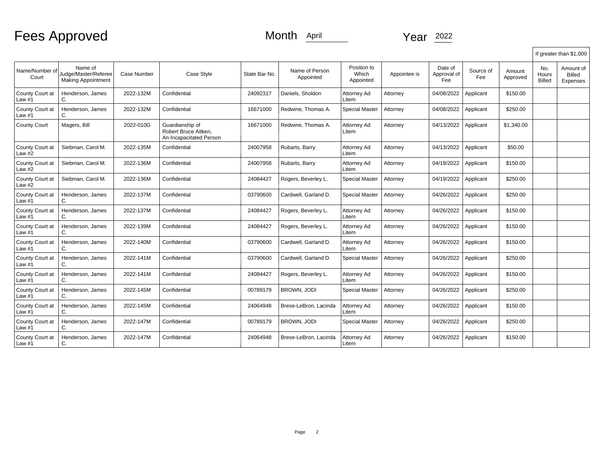# Fees Approved Month April 2022

|                           |                                                              |             |                                                                    |               |                             |                                   |              |                               |                  |                    |                        | If greater than \$1,000         |
|---------------------------|--------------------------------------------------------------|-------------|--------------------------------------------------------------------|---------------|-----------------------------|-----------------------------------|--------------|-------------------------------|------------------|--------------------|------------------------|---------------------------------|
| Name/Number of<br>Court   | Name of<br>Judge/Master/Referee<br><b>Making Appointment</b> | Case Number | Case Style                                                         | State Bar No. | Name of Person<br>Appointed | Position to<br>Which<br>Appointed | Appointee is | Date of<br>Approval of<br>Fee | Source of<br>Fee | Amount<br>Approved | No.<br>Hours<br>Billed | Amount of<br>Billed<br>Expenses |
| County Court at<br>Law #1 | Henderson, James<br>C.                                       | 2022-132M   | Confidential                                                       | 24092317      | Daniels. Sholdon            | Attorney Ad<br>∟item              | Attorney     | 04/08/2022                    | Applicant        | \$150.00           |                        |                                 |
| County Court at<br>_aw #1 | Henderson, James<br>C.                                       | 2022-132M   | Confidential                                                       | 16671000      | Redwine. Thomas A.          | <b>Special Master</b>             | Attorney     | 04/08/2022                    | Applicant        | \$250.00           |                        |                                 |
| <b>County Court</b>       | Magers, Bill                                                 | 2022-010G   | Guardianship of<br>Robert Bruce Aitken,<br>An Incapacitated Person | 16671000      | Redwine, Thomas A.          | Attorney Ad<br>∟item              | Attorney     | 04/13/2022                    | Applicant        | \$1,340.00         |                        |                                 |
| County Court at<br>Law #2 | Siebman, Carol M.                                            | 2022-135M   | Confidential                                                       | 24007958      | Rubarts, Barry              | Attorney Ad<br>Litem              | Attorney     | 04/13/2022                    | Applicant        | \$50.00            |                        |                                 |
| County Court at<br>Law #2 | Siebman, Carol M.                                            | 2022-136M   | Confidential                                                       | 24007958      | Rubarts, Barry              | Attorney Ad<br>Litem              | Attorney     | 04/19/2022                    | Applicant        | \$150.00           |                        |                                 |
| County Court at<br>Law #2 | Siebman, Carol M.                                            | 2022-136M   | Confidential                                                       | 24084427      | Rogers, Beverley L.         | <b>Special Master</b>             | Attorney     | 04/19/2022                    | Applicant        | \$250.00           |                        |                                 |
| County Court at<br>Law #1 | Henderson, James<br>C.                                       | 2022-137M   | Confidential                                                       | 03790600      | Cardwell. Garland D.        | <b>Special Master</b>             | Attorney     | 04/26/2022                    | Applicant        | \$250.00           |                        |                                 |
| County Court at<br>Law #1 | Henderson, James<br>С.                                       | 2022-137M   | Confidential                                                       | 24084427      | Rogers, Beverley L.         | Attorney Ad<br>Litem              | Attorney     | 04/26/2022                    | Applicant        | \$150.00           |                        |                                 |
| County Court at<br>Law #1 | Henderson, James<br>С.                                       | 2022-139M   | Confidential                                                       | 24084427      | Rogers, Beverley L.         | Attorney Ad<br>Litem              | Attorney     | 04/26/2022                    | Applicant        | \$150.00           |                        |                                 |
| County Court at<br>Law #1 | Henderson, James<br>C.                                       | 2022-140M   | Confidential                                                       | 03790600      | Cardwell, Garland D.        | Attorney Ad<br>Litem              | Attorney     | 04/26/2022                    | Applicant        | \$150.00           |                        |                                 |
| County Court at<br>Law #1 | Henderson, James<br>C.                                       | 2022-141M   | Confidential                                                       | 03790600      | Cardwell, Garland D.        | <b>Special Master</b>             | Attorney     | 04/26/2022                    | Applicant        | \$250.00           |                        |                                 |
| County Court at<br>Law #1 | Henderson, James<br>C.                                       | 2022-141M   | Confidential                                                       | 24084427      | Rogers, Beverley L.         | Attorney Ad<br>Litem              | Attorney     | 04/26/2022                    | Applicant        | \$150.00           |                        |                                 |
| County Court at<br>Law #1 | Henderson, James<br>C.                                       | 2022-145M   | Confidential                                                       | 00789179      | BROWN, JODI                 | <b>Special Master</b>             | Attorney     | 04/26/2022                    | Applicant        | \$250.00           |                        |                                 |
| County Court at<br>Law #1 | Henderson, James<br>C.                                       | 2022-145M   | Confidential                                                       | 24064948      | Brese-LeBron, Lacinda       | Attorney Ad<br>Litem              | Attorney     | 04/26/2022                    | Applicant        | \$150.00           |                        |                                 |
| County Court at<br>Law #1 | Henderson, James<br>C.                                       | 2022-147M   | Confidential                                                       | 00789179      | BROWN, JODI                 | <b>Special Master</b>             | Attorney     | 04/26/2022                    | Applicant        | \$250.00           |                        |                                 |
| County Court at<br>Law #1 | Henderson, James<br>C.                                       | 2022-147M   | Confidential                                                       | 24064948      | Brese-LeBron, Lacinda       | Attorney Ad<br>Litem              | Attorney     | 04/26/2022                    | Applicant        | \$150.00           |                        |                                 |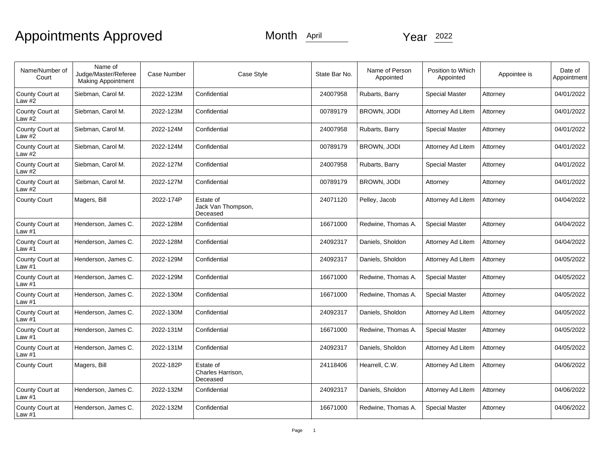| Name/Number of<br>Court     | Name of<br>Judge/Master/Referee<br><b>Making Appointment</b> | Case Number | Case Style                                  | State Bar No. | Name of Person<br>Appointed | Position to Which<br>Appointed | Appointee is | Date of<br>Appointment |
|-----------------------------|--------------------------------------------------------------|-------------|---------------------------------------------|---------------|-----------------------------|--------------------------------|--------------|------------------------|
| County Court at<br>Law $#2$ | Siebman, Carol M.                                            | 2022-123M   | Confidential                                | 24007958      | Rubarts, Barry              | <b>Special Master</b>          | Attorney     | 04/01/2022             |
| County Court at<br>Law $#2$ | Siebman, Carol M.                                            | 2022-123M   | Confidential                                | 00789179      | <b>BROWN, JODI</b>          | Attorney Ad Litem              | Attorney     | 04/01/2022             |
| County Court at<br>Law #2   | Siebman, Carol M.                                            | 2022-124M   | Confidential                                | 24007958      | Rubarts, Barry              | <b>Special Master</b>          | Attorney     | 04/01/2022             |
| County Court at<br>Law $#2$ | Siebman, Carol M.                                            | 2022-124M   | Confidential                                | 00789179      | <b>BROWN, JODI</b>          | Attorney Ad Litem              | Attorney     | 04/01/2022             |
| County Court at<br>Law $#2$ | Siebman, Carol M.                                            | 2022-127M   | Confidential                                | 24007958      | Rubarts, Barry              | <b>Special Master</b>          | Attorney     | 04/01/2022             |
| County Court at<br>Law #2   | Siebman, Carol M.                                            | 2022-127M   | Confidential                                | 00789179      | <b>BROWN, JODI</b>          | Attorney                       | Attorney     | 04/01/2022             |
| <b>County Court</b>         | Magers, Bill                                                 | 2022-174P   | Estate of<br>Jack Van Thompson,<br>Deceased | 24071120      | Pelley, Jacob               | Attorney Ad Litem              | Attorney     | 04/04/2022             |
| County Court at<br>Law #1   | Henderson, James C.                                          | 2022-128M   | Confidential                                | 16671000      | Redwine, Thomas A.          | <b>Special Master</b>          | Attorney     | 04/04/2022             |
| County Court at<br>Law $#1$ | Henderson, James C.                                          | 2022-128M   | Confidential                                | 24092317      | Daniels, Sholdon            | Attorney Ad Litem              | Attorney     | 04/04/2022             |
| County Court at<br>Law #1   | Henderson, James C.                                          | 2022-129M   | Confidential                                | 24092317      | Daniels, Sholdon            | Attorney Ad Litem              | Attorney     | 04/05/2022             |
| County Court at<br>Law #1   | Henderson, James C.                                          | 2022-129M   | Confidential                                | 16671000      | Redwine, Thomas A.          | <b>Special Master</b>          | Attorney     | 04/05/2022             |
| County Court at<br>Law #1   | Henderson, James C.                                          | 2022-130M   | Confidential                                | 16671000      | Redwine, Thomas A.          | <b>Special Master</b>          | Attorney     | 04/05/2022             |
| County Court at<br>Law #1   | Henderson, James C.                                          | 2022-130M   | Confidential                                | 24092317      | Daniels, Sholdon            | Attorney Ad Litem              | Attorney     | 04/05/2022             |
| County Court at<br>Law #1   | Henderson, James C.                                          | 2022-131M   | Confidential                                | 16671000      | Redwine, Thomas A.          | <b>Special Master</b>          | Attorney     | 04/05/2022             |
| County Court at<br>Law #1   | Henderson, James C.                                          | 2022-131M   | Confidential                                | 24092317      | Daniels, Sholdon            | Attorney Ad Litem              | Attorney     | 04/05/2022             |
| <b>County Court</b>         | Magers, Bill                                                 | 2022-182P   | Estate of<br>Charles Harrison,<br>Deceased  | 24118406      | Hearrell, C.W.              | Attorney Ad Litem              | Attorney     | 04/06/2022             |
| County Court at<br>Law #1   | Henderson, James C.                                          | 2022-132M   | Confidential                                | 24092317      | Daniels, Sholdon            | Attorney Ad Litem              | Attorney     | 04/06/2022             |
| County Court at<br>Law $#1$ | Henderson, James C.                                          | 2022-132M   | Confidential                                | 16671000      | Redwine, Thomas A.          | <b>Special Master</b>          | Attorney     | 04/06/2022             |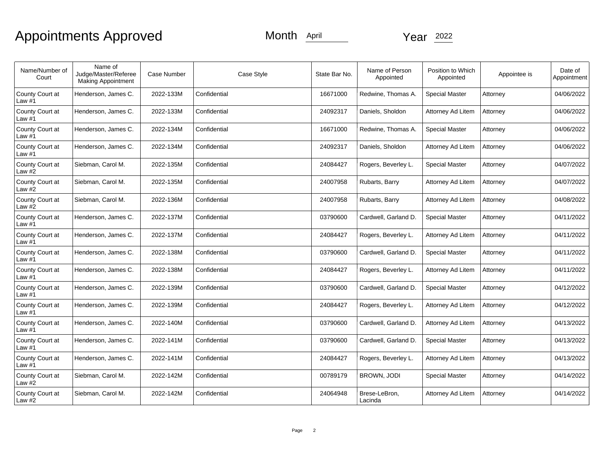| Name/Number of<br>Court     | Name of<br>Judge/Master/Referee<br><b>Making Appointment</b> | <b>Case Number</b> | Case Style   | State Bar No. | Name of Person<br>Appointed | Position to Which<br>Appointed | Appointee is | Date of<br>Appointment |
|-----------------------------|--------------------------------------------------------------|--------------------|--------------|---------------|-----------------------------|--------------------------------|--------------|------------------------|
| County Court at<br>Law $#1$ | Henderson, James C.                                          | 2022-133M          | Confidential | 16671000      | Redwine, Thomas A.          | <b>Special Master</b>          | Attorney     | 04/06/2022             |
| County Court at<br>Law #1   | Henderson, James C.                                          | 2022-133M          | Confidential | 24092317      | Daniels, Sholdon            | <b>Attorney Ad Litem</b>       | Attorney     | 04/06/2022             |
| County Court at<br>Law #1   | Henderson, James C.                                          | 2022-134M          | Confidential | 16671000      | Redwine, Thomas A.          | <b>Special Master</b>          | Attorney     | 04/06/2022             |
| County Court at<br>Law $#1$ | Henderson, James C.                                          | 2022-134M          | Confidential | 24092317      | Daniels, Sholdon            | Attorney Ad Litem              | Attorney     | 04/06/2022             |
| County Court at<br>Law $#2$ | Siebman, Carol M.                                            | 2022-135M          | Confidential | 24084427      | Rogers, Beverley L.         | <b>Special Master</b>          | Attorney     | 04/07/2022             |
| County Court at<br>Law #2   | Siebman, Carol M.                                            | 2022-135M          | Confidential | 24007958      | Rubarts, Barry              | Attorney Ad Litem              | Attorney     | 04/07/2022             |
| County Court at<br>Law $#2$ | Siebman, Carol M.                                            | 2022-136M          | Confidential | 24007958      | Rubarts, Barry              | Attorney Ad Litem              | Attorney     | 04/08/2022             |
| County Court at<br>Law #1   | Henderson, James C.                                          | 2022-137M          | Confidential | 03790600      | Cardwell, Garland D.        | <b>Special Master</b>          | Attorney     | 04/11/2022             |
| County Court at<br>Law $#1$ | Henderson, James C.                                          | 2022-137M          | Confidential | 24084427      | Rogers, Beverley L.         | Attorney Ad Litem              | Attorney     | 04/11/2022             |
| County Court at<br>Law $#1$ | Henderson, James C.                                          | 2022-138M          | Confidential | 03790600      | Cardwell, Garland D.        | <b>Special Master</b>          | Attorney     | 04/11/2022             |
| County Court at<br>Law #1   | Henderson, James C.                                          | 2022-138M          | Confidential | 24084427      | Rogers, Beverley L.         | Attorney Ad Litem              | Attorney     | 04/11/2022             |
| County Court at<br>Law $#1$ | Henderson, James C.                                          | 2022-139M          | Confidential | 03790600      | Cardwell, Garland D.        | <b>Special Master</b>          | Attorney     | 04/12/2022             |
| County Court at<br>Law $#1$ | Henderson, James C.                                          | 2022-139M          | Confidential | 24084427      | Rogers, Beverley L.         | <b>Attorney Ad Litem</b>       | Attorney     | 04/12/2022             |
| County Court at<br>Law #1   | Henderson, James C.                                          | 2022-140M          | Confidential | 03790600      | Cardwell, Garland D.        | Attorney Ad Litem              | Attorney     | 04/13/2022             |
| County Court at<br>Law $#1$ | Henderson, James C.                                          | 2022-141M          | Confidential | 03790600      | Cardwell, Garland D.        | <b>Special Master</b>          | Attorney     | 04/13/2022             |
| County Court at<br>Law #1   | Henderson, James C.                                          | 2022-141M          | Confidential | 24084427      | Rogers, Beverley L.         | Attorney Ad Litem              | Attorney     | 04/13/2022             |
| County Court at<br>Law $#2$ | Siebman, Carol M.                                            | 2022-142M          | Confidential | 00789179      | <b>BROWN, JODI</b>          | <b>Special Master</b>          | Attorney     | 04/14/2022             |
| County Court at<br>Law #2   | Siebman, Carol M.                                            | 2022-142M          | Confidential | 24064948      | Brese-LeBron,<br>Lacinda    | Attorney Ad Litem              | Attorney     | 04/14/2022             |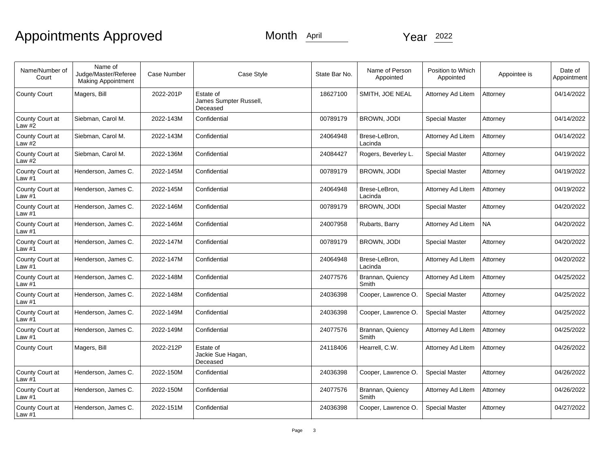| Name/Number of<br>Court     | Name of<br>Judge/Master/Referee<br><b>Making Appointment</b> | Case Number | Case Style                                      | State Bar No. | Name of Person<br>Appointed | Position to Which<br>Appointed | Appointee is | Date of<br>Appointment |
|-----------------------------|--------------------------------------------------------------|-------------|-------------------------------------------------|---------------|-----------------------------|--------------------------------|--------------|------------------------|
| <b>County Court</b>         | Magers, Bill                                                 | 2022-201P   | Estate of<br>James Sumpter Russell,<br>Deceased | 18627100      | SMITH, JOE NEAL             | Attorney Ad Litem              | Attorney     | 04/14/2022             |
| County Court at<br>Law $#2$ | Siebman, Carol M.                                            | 2022-143M   | Confidential                                    | 00789179      | BROWN, JODI                 | <b>Special Master</b>          | Attorney     | 04/14/2022             |
| County Court at<br>Law #2   | Siebman, Carol M.                                            | 2022-143M   | Confidential                                    | 24064948      | Brese-LeBron,<br>Lacinda    | Attorney Ad Litem              | Attorney     | 04/14/2022             |
| County Court at<br>Law $#2$ | Siebman, Carol M.                                            | 2022-136M   | Confidential                                    | 24084427      | Rogers, Beverley L.         | <b>Special Master</b>          | Attorney     | 04/19/2022             |
| County Court at<br>Law $#1$ | Henderson, James C.                                          | 2022-145M   | Confidential                                    | 00789179      | BROWN, JODI                 | <b>Special Master</b>          | Attorney     | 04/19/2022             |
| County Court at<br>Law #1   | Henderson, James C.                                          | 2022-145M   | Confidential                                    | 24064948      | Brese-LeBron,<br>Lacinda    | Attorney Ad Litem              | Attorney     | 04/19/2022             |
| County Court at<br>Law $#1$ | Henderson, James C.                                          | 2022-146M   | Confidential                                    | 00789179      | BROWN, JODI                 | <b>Special Master</b>          | Attorney     | 04/20/2022             |
| County Court at<br>Law $#1$ | Henderson, James C.                                          | 2022-146M   | Confidential                                    | 24007958      | Rubarts, Barry              | Attorney Ad Litem              | NA.          | 04/20/2022             |
| County Court at<br>Law $#1$ | Henderson, James C.                                          | 2022-147M   | Confidential                                    | 00789179      | <b>BROWN, JODI</b>          | <b>Special Master</b>          | Attorney     | 04/20/2022             |
| County Court at<br>Law $#1$ | Henderson, James C.                                          | 2022-147M   | Confidential                                    | 24064948      | Brese-LeBron,<br>Lacinda    | Attorney Ad Litem              | Attorney     | 04/20/2022             |
| County Court at<br>Law #1   | Henderson, James C.                                          | 2022-148M   | Confidential                                    | 24077576      | Brannan, Quiency<br>Smith   | Attorney Ad Litem              | Attorney     | 04/25/2022             |
| County Court at<br>Law #1   | Henderson, James C.                                          | 2022-148M   | Confidential                                    | 24036398      | Cooper, Lawrence O.         | <b>Special Master</b>          | Attorney     | 04/25/2022             |
| County Court at<br>Law #1   | Henderson, James C.                                          | 2022-149M   | Confidential                                    | 24036398      | Cooper, Lawrence O.         | <b>Special Master</b>          | Attorney     | 04/25/2022             |
| County Court at<br>Law #1   | Henderson, James C.                                          | 2022-149M   | Confidential                                    | 24077576      | Brannan, Quiency<br>Smith   | Attorney Ad Litem              | Attorney     | 04/25/2022             |
| <b>County Court</b>         | Magers, Bill                                                 | 2022-212P   | Estate of<br>Jackie Sue Hagan,<br>Deceased      | 24118406      | Hearrell, C.W.              | Attorney Ad Litem              | Attorney     | 04/26/2022             |
| County Court at<br>Law $#1$ | Henderson, James C.                                          | 2022-150M   | Confidential                                    | 24036398      | Cooper, Lawrence O.         | <b>Special Master</b>          | Attorney     | 04/26/2022             |
| County Court at<br>Law #1   | Henderson, James C.                                          | 2022-150M   | Confidential                                    | 24077576      | Brannan, Quiency<br>Smith   | Attorney Ad Litem              | Attorney     | 04/26/2022             |
| County Court at<br>Law $#1$ | Henderson, James C.                                          | 2022-151M   | Confidential                                    | 24036398      | Cooper, Lawrence O.         | Special Master                 | Attorney     | 04/27/2022             |